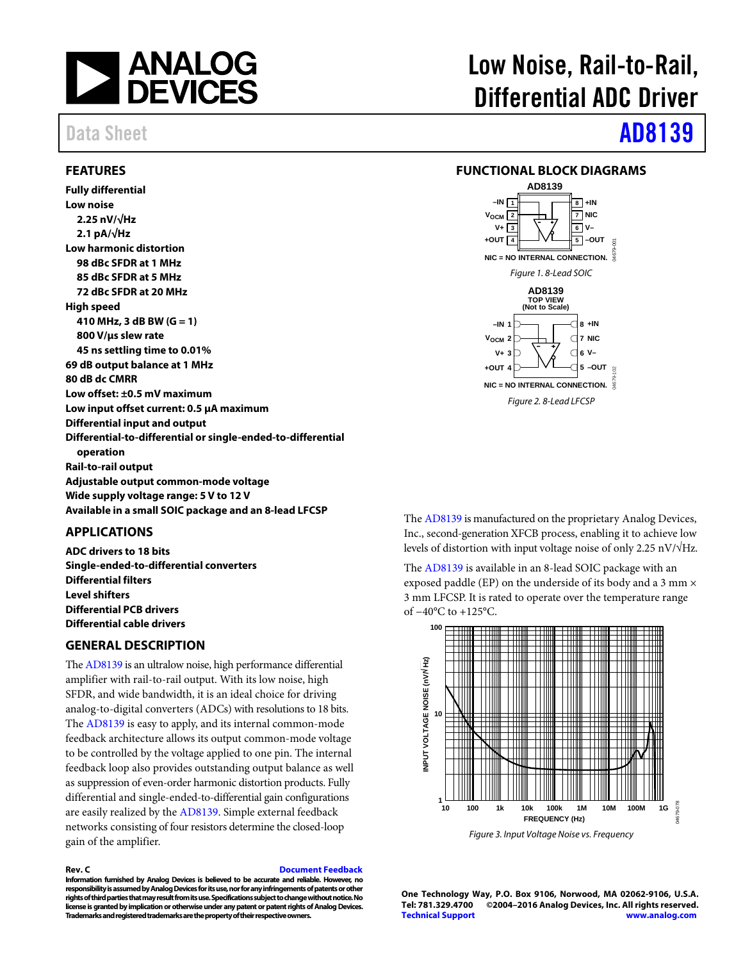

### <span id="page-0-0"></span>**FEATURES**

**Fully differential Low noise 2.25 nV/√Hz 2.1 pA/√Hz Low harmonic distortion 98 dBc SFDR at 1 MHz 85 dBc SFDR at 5 MHz 72 dBc SFDR at 20 MHz High speed 410 MHz, 3 dB BW (G = 1) 800 V/µs slew rate 45 ns settling time to 0.01% 69 dB output balance at 1 MHz 80 dB dc CMRR Low offset: ±0.5 mV maximum Low input offset current: 0.5 µA maximum Differential input and output Differential-to-differential or single-ended-to-differential operation Rail-to-rail output Adjustable output common-mode voltage Wide supply voltage range: 5 V to 12 V Available in a small SOIC package and an 8-lead LFCSP**

### <span id="page-0-1"></span>**APPLICATIONS**

**ADC drivers to 18 bits Single-ended-to-differential converters Differential filters Level shifters Differential PCB drivers Differential cable drivers**

### <span id="page-0-2"></span>**GENERAL DESCRIPTION**

Th[e AD8139](http://www.analog.com/ad8139?doc=ad8139.pdf) is an ultralow noise, high performance differential amplifier with rail-to-rail output. With its low noise, high SFDR, and wide bandwidth, it is an ideal choice for driving analog-to-digital converters (ADCs) with resolutions to 18 bits. The [AD8139](http://www.analog.com/ad8139?doc=ad8139.pdf) is easy to apply, and its internal common-mode feedback architecture allows its output common-mode voltage to be controlled by the voltage applied to one pin. The internal feedback loop also provides outstanding output balance as well as suppression of even-order harmonic distortion products. Fully differential and single-ended-to-differential gain configurations are easily realized by the [AD8139.](http://www.analog.com/ad8139?doc=ad8139.pdf) Simple external feedback networks consisting of four resistors determine the closed-loop gain of the amplifier.

### **Rev. C [Document Feedback](https://form.analog.com/Form_Pages/feedback/documentfeedback.aspx?doc=AD8139.pdf&product=AD8139&rev=C)**

**Information furnished by Analog Devices is believed to be accurate and reliable. However, no responsibility is assumed by Analog Devices for its use, nor for any infringements of patents or other rights of third parties that may result from its use. Specifications subject to change without notice. No license is granted by implication or otherwise under any patent or patent rights of Analog Devices. Trademarks and registered trademarks are the property of their respective owners.**

# Low Noise, Rail-to-Rail, Differential ADC Driver

# Data Sheet **[AD8139](http://www.analog.com/ad8139?doc=ad8139.pdf)**

### <span id="page-0-3"></span>**FUNCTIONAL BLOCK DIAGRAMS**



The [AD8139](http://www.analog.com/ad8139?doc=ad8139.pdf) is manufactured on the proprietary Analog Devices, Inc., second-generation XFCB process, enabling it to achieve low levels of distortion with input voltage noise of only 2.25 nV/ $\sqrt{\text{Hz}}$ .

The [AD8139](http://www.analog.com/ad8139?doc=ad8139.pdf) is available in an 8-lead SOIC package with an exposed paddle (EP) on the underside of its body and a 3 mm  $\times$ 3 mm LFCSP. It is rated to operate over the temperature range of −40°C to +125°C.



*Figure 3. Input Voltage Noise vs. Frequency*

**One Technology Way, P.O. Box 9106, Norwood, MA 02062-9106, U.S.A. Tel: 781.329.4700 ©2004–2016 Analog Devices, Inc. All rights reserved. [Technical Support](http://www.analog.com/en/content/technical_support_page/fca.html) [www.analog.com](http://www.analog.com/)**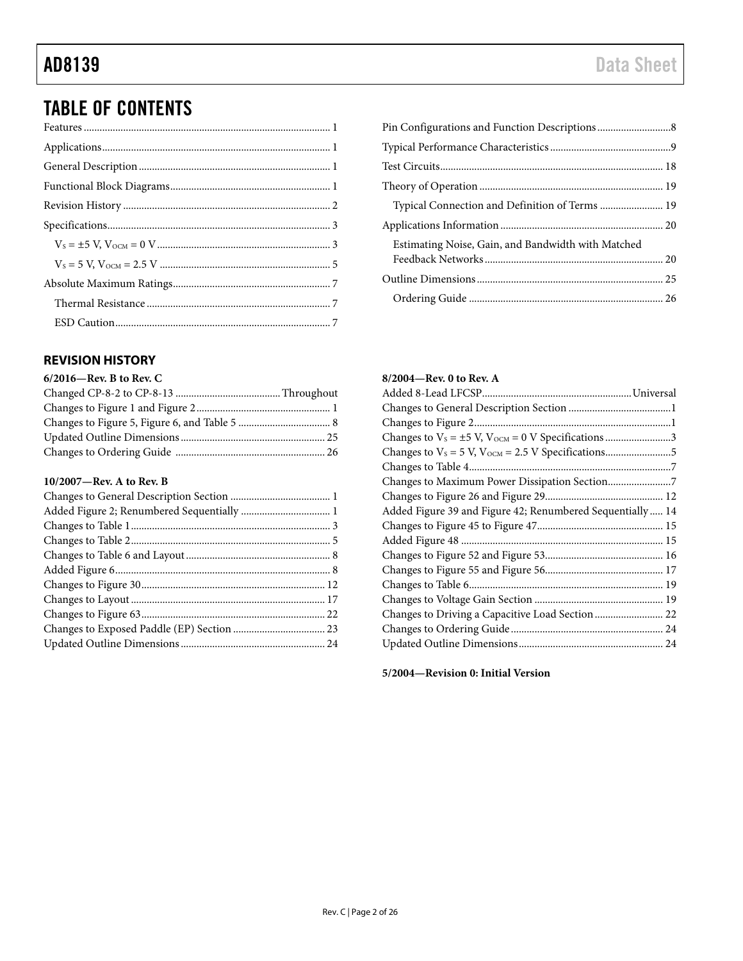# TABLE OF CONTENTS

## <span id="page-1-0"></span>**REVISION HISTORY**

| 6/2016-Rev. B to Rev. C |  |
|-------------------------|--|
|                         |  |
|                         |  |
|                         |  |
|                         |  |
|                         |  |
|                         |  |

### **10/2007—Rev. A to Rev. B**

| Typical Connection and Definition of Terms  19     |  |
|----------------------------------------------------|--|
|                                                    |  |
| Estimating Noise, Gain, and Bandwidth with Matched |  |
|                                                    |  |
|                                                    |  |

### **8/2004—Rev. 0 to Rev. A**

| Changes to $V_s = \pm 5$ V, $V_{OCM} = 0$ V Specifications 3 |  |
|--------------------------------------------------------------|--|
|                                                              |  |
|                                                              |  |
| Changes to Maximum Power Dissipation Section7                |  |
|                                                              |  |
| Added Figure 39 and Figure 42; Renumbered Sequentially  14   |  |
|                                                              |  |
|                                                              |  |
|                                                              |  |
|                                                              |  |
|                                                              |  |
|                                                              |  |
|                                                              |  |
|                                                              |  |
|                                                              |  |

**5/2004—Revision 0: Initial Version**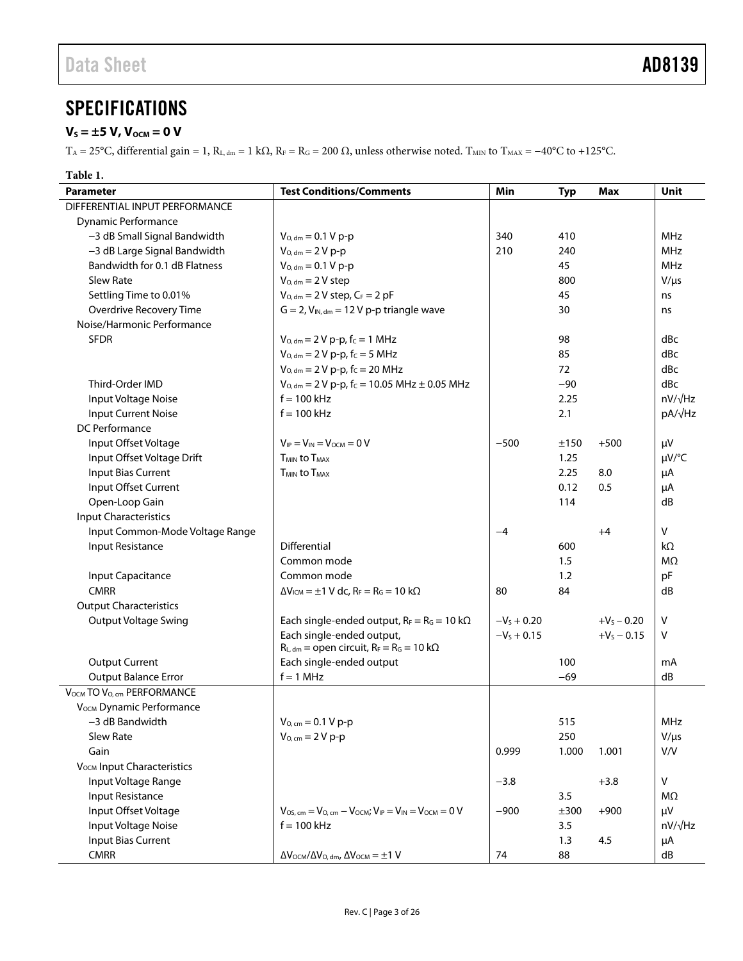# <span id="page-2-0"></span>**SPECIFICATIONS**

## <span id="page-2-1"></span> $V_s = \pm 5$  V,  $V_{\text{OCM}} = 0$  V

 $T_A = 25$ °C, differential gain = 1, R<sub>L, dm</sub> = 1 kΩ, R<sub>F</sub> = R<sub>G</sub> = 200 Ω, unless otherwise noted. T<sub>MIN</sub> to T<sub>MAX</sub> = −40°C to +125°C.

| <b>Parameter</b>                       | <b>Test Conditions/Comments</b>                                                             | Min           | <b>Typ</b> | <b>Max</b>    | Unit           |
|----------------------------------------|---------------------------------------------------------------------------------------------|---------------|------------|---------------|----------------|
| DIFFERENTIAL INPUT PERFORMANCE         |                                                                                             |               |            |               |                |
| <b>Dynamic Performance</b>             |                                                                                             |               |            |               |                |
| -3 dB Small Signal Bandwidth           | $V_{O, dm} = 0.1 V p-p$                                                                     | 340           | 410        |               | MHz            |
| -3 dB Large Signal Bandwidth           | $V_{O, dm} = 2 V p-p$                                                                       | 210           | 240        |               | <b>MHz</b>     |
| Bandwidth for 0.1 dB Flatness          | $V_{O, dm} = 0.1 V p-p$                                                                     |               | 45         |               | <b>MHz</b>     |
| Slew Rate                              | $V_{O, dm} = 2 V$ step                                                                      |               | 800        |               | $V/\mu s$      |
| Settling Time to 0.01%                 | $V_{Q, dm} = 2 V$ step, $C_F = 2 pF$                                                        |               | 45         |               | ns             |
| Overdrive Recovery Time                | $G = 2$ , $V_{IN, dm} = 12 V p-p$ triangle wave                                             |               | 30         |               | ns             |
| Noise/Harmonic Performance             |                                                                                             |               |            |               |                |
| <b>SFDR</b>                            | $V_{O, dm} = 2 V p-p$ , $f_C = 1 MHz$                                                       |               | 98         |               | dBc            |
|                                        | $V_{O, dm} = 2 V p-p$ , fc = 5 MHz                                                          |               | 85         |               | dBc            |
|                                        | $V_{Q, dm} = 2 V p-p$ , f <sub>c</sub> = 20 MHz                                             |               | 72         |               | dBc            |
| Third-Order IMD                        | $V_{O, dm} = 2 V p-p$ , f <sub>c</sub> = 10.05 MHz ± 0.05 MHz                               |               | $-90$      |               | dBc            |
| Input Voltage Noise                    | $f = 100$ kHz                                                                               |               | 2.25       |               | $nV/\sqrt{Hz}$ |
| <b>Input Current Noise</b>             | $f = 100$ kHz                                                                               |               | 2.1        |               | pA/√Hz         |
| DC Performance                         |                                                                                             |               |            |               |                |
| Input Offset Voltage                   | $V_{IP} = V_{IN} = V_{OCM} = 0 V$                                                           | $-500$        | ±150       | $+500$        | μV             |
| Input Offset Voltage Drift             | T <sub>MIN</sub> to T <sub>MAX</sub>                                                        |               | 1.25       |               | µV/°C          |
| <b>Input Bias Current</b>              | <b>TMIN to TMAX</b>                                                                         |               | 2.25       | 8.0           | μA             |
| Input Offset Current                   |                                                                                             |               | 0.12       | 0.5           | μA             |
| Open-Loop Gain                         |                                                                                             |               | 114        |               | dB             |
| <b>Input Characteristics</b>           |                                                                                             |               |            |               |                |
| Input Common-Mode Voltage Range        |                                                                                             | $-4$          |            | $+4$          | V              |
| Input Resistance                       | <b>Differential</b>                                                                         |               | 600        |               | $k\Omega$      |
|                                        | Common mode                                                                                 |               | 1.5        |               | M <sub>2</sub> |
| Input Capacitance                      | Common mode                                                                                 |               | 1.2        |               | pF             |
| <b>CMRR</b>                            | $\Delta V_{\text{ICM}} = \pm 1$ V dc, R <sub>F</sub> = R <sub>G</sub> = 10 k $\Omega$       | 80            | 84         |               | dB             |
| <b>Output Characteristics</b>          |                                                                                             |               |            |               |                |
| <b>Output Voltage Swing</b>            | Each single-ended output, $R_F = R_G = 10 \text{ k}\Omega$                                  | $-V_s + 0.20$ |            | $+V_S - 0.20$ | v              |
|                                        | Each single-ended output,                                                                   | $-V_s + 0.15$ |            | $+V_s - 0.15$ | V              |
|                                        | $R_{L, dm}$ = open circuit, $R_F = R_G = 10$ k $\Omega$                                     |               |            |               |                |
| <b>Output Current</b>                  | Each single-ended output                                                                    |               | 100        |               | mA             |
| <b>Output Balance Error</b>            | $f = 1$ MHz                                                                                 |               | $-69$      |               | dB             |
| VOCM TO VO, cm PERFORMANCE             |                                                                                             |               |            |               |                |
| V <sub>OCM</sub> Dynamic Performance   |                                                                                             |               |            |               |                |
| -3 dB Bandwidth                        | $V_{O, cm} = 0.1 V p-p$                                                                     |               | 515        |               | MHz            |
| Slew Rate                              | $V_{O, cm} = 2 V p-p$                                                                       |               | 250        |               | $V/\mu s$      |
| Gain                                   |                                                                                             | 0.999         | 1.000      | 1.001         | V/V            |
| V <sub>OCM</sub> Input Characteristics |                                                                                             |               |            |               |                |
| Input Voltage Range                    |                                                                                             | $-3.8$        |            | $+3.8$        | V              |
| <b>Input Resistance</b>                |                                                                                             |               | 3.5        |               | MΩ             |
| Input Offset Voltage                   | $V_{OS, cm} = V_{O, cm} - V_{OCM}$ ; $V_{IP} = V_{IN} = V_{OCM} = 0$ V                      | $-900$        | ±300       | $+900$        | μV             |
| Input Voltage Noise                    | $f = 100$ kHz                                                                               |               | 3.5        |               | $nV/\sqrt{Hz}$ |
| <b>Input Bias Current</b>              |                                                                                             |               | 1.3        | 4.5           | μA             |
| <b>CMRR</b>                            | $\Delta V_{\text{OCM}}/\Delta V_{\text{O, dm}}$ , $\Delta V_{\text{OCM}} = \pm 1 \text{ V}$ | 74            | 88         |               | dB             |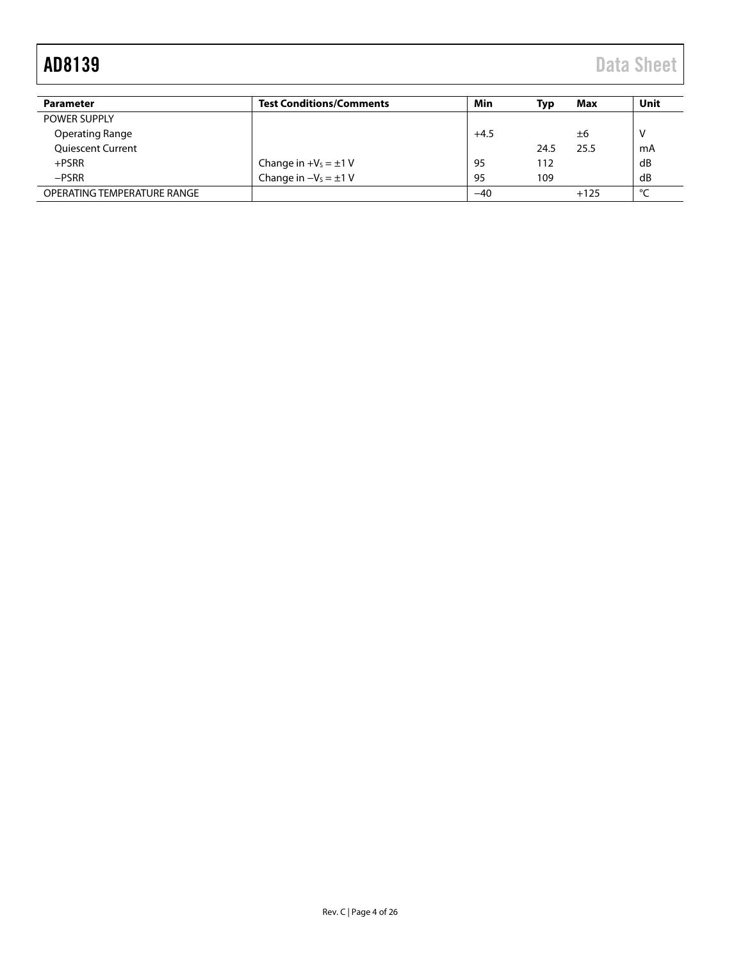| <b>Parameter</b>            | <b>Test Conditions/Comments</b> | Min    | Tvp  | Max    | Unit        |
|-----------------------------|---------------------------------|--------|------|--------|-------------|
| POWER SUPPLY                |                                 |        |      |        |             |
| <b>Operating Range</b>      |                                 | $+4.5$ |      | ±6     | V           |
| <b>Quiescent Current</b>    |                                 |        | 24.5 | 25.5   | mA          |
| $+$ PSRR                    | Change in $+V_s = \pm 1$ V      | -95    | 112  |        | dB          |
| $-$ PSRR                    | Change in $-V_s = \pm 1$ V      | 95     | 109  |        | dB          |
| OPERATING TEMPERATURE RANGE |                                 | $-40$  |      | $+125$ | $\sim$<br>∼ |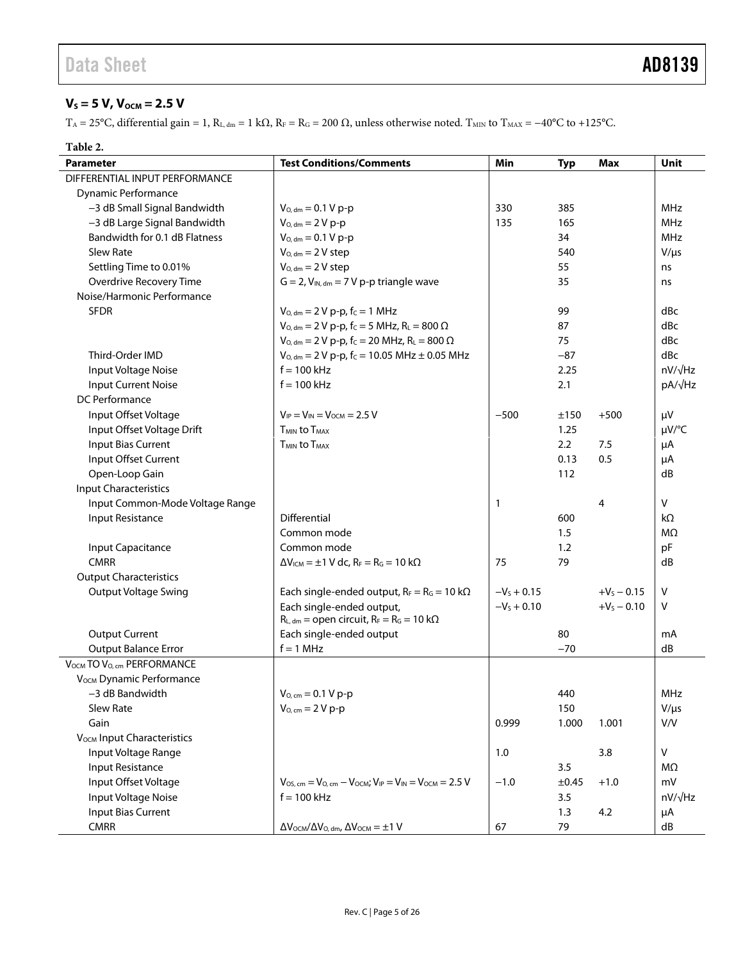## <span id="page-4-0"></span> $V_s = 5 V, V_{OCM} = 2.5 V$

 $T_A = 25$ °C, differential gain = 1, R<sub>L, dm</sub> = 1 kΩ, R<sub>F</sub> = R<sub>G</sub> = 200 Ω, unless otherwise noted. T<sub>MIN</sub> to T<sub>MAX</sub> = -40°C to +125°C.

### **Table 2.**

| <b>Parameter</b>                       | <b>Test Conditions/Comments</b>                                                       | Min           | <b>Typ</b> | Max           | <b>Unit</b>    |
|----------------------------------------|---------------------------------------------------------------------------------------|---------------|------------|---------------|----------------|
| DIFFERENTIAL INPUT PERFORMANCE         |                                                                                       |               |            |               |                |
| Dynamic Performance                    |                                                                                       |               |            |               |                |
| -3 dB Small Signal Bandwidth           | $V_{O, dm} = 0.1 V p-p$                                                               | 330           | 385        |               | MHz            |
| -3 dB Large Signal Bandwidth           | $V_{O, dm} = 2 V p-p$                                                                 | 135           | 165        |               | MHz            |
| Bandwidth for 0.1 dB Flatness          | $V_{O, dm} = 0.1 V p-p$                                                               |               | 34         |               | MHz            |
| Slew Rate                              | $V_{O, dm} = 2 V$ step                                                                |               | 540        |               | $V/\mu s$      |
| Settling Time to 0.01%                 | $V_{O, dm} = 2 V$ step                                                                |               | 55         |               | ns             |
| Overdrive Recovery Time                | $G = 2$ , $V_{IN, dm} = 7 V p-p$ triangle wave                                        |               | 35         |               | ns             |
| Noise/Harmonic Performance             |                                                                                       |               |            |               |                |
| <b>SFDR</b>                            | $V_{O, dm} = 2 V p-p$ , $f_C = 1 MHz$                                                 |               | 99         |               | dBc            |
|                                        | $V_{O, dm} = 2 V p-p, f_C = 5 MHz, R_L = 800 \Omega$                                  |               | 87         |               | dBc            |
|                                        | $V_{O, dm} = 2 V p-p$ , f <sub>C</sub> = 20 MHz, R <sub>L</sub> = 800 $\Omega$        |               | 75         |               | dBc            |
| Third-Order IMD                        | $V_{O, dm} = 2 V p-p$ , f <sub>C</sub> = 10.05 MHz ± 0.05 MHz                         |               | $-87$      |               | dBc            |
| Input Voltage Noise                    | $f = 100$ kHz                                                                         |               | 2.25       |               | $nV/\sqrt{Hz}$ |
| <b>Input Current Noise</b>             | $f = 100$ kHz                                                                         |               | 2.1        |               | pA/√Hz         |
| DC Performance                         |                                                                                       |               |            |               |                |
| Input Offset Voltage                   | $V_{IP} = V_{IN} = V_{OCM} = 2.5 V$                                                   | $-500$        | ±150       | $+500$        | μV             |
| Input Offset Voltage Drift             | <b>T<sub>MIN</sub></b> to T <sub>MAX</sub>                                            |               | 1.25       |               | µV/°C          |
| <b>Input Bias Current</b>              | T <sub>MIN</sub> to T <sub>MAX</sub>                                                  |               | 2.2        | 7.5           | μA             |
| Input Offset Current                   |                                                                                       |               | 0.13       | 0.5           | μA             |
| Open-Loop Gain                         |                                                                                       |               | 112        |               | dB             |
| <b>Input Characteristics</b>           |                                                                                       |               |            |               |                |
| Input Common-Mode Voltage Range        |                                                                                       | 1             |            | 4             | ${\sf V}$      |
| <b>Input Resistance</b>                | Differential                                                                          |               | 600        |               | kΩ             |
|                                        | Common mode                                                                           |               | 1.5        |               | MΩ             |
| Input Capacitance                      | Common mode                                                                           |               | 1.2        |               | pF             |
| <b>CMRR</b>                            | $\Delta V_{\text{ICM}} = \pm 1$ V dc, R <sub>F</sub> = R <sub>G</sub> = 10 k $\Omega$ | 75            | 79         |               | dB             |
| <b>Output Characteristics</b>          |                                                                                       |               |            |               |                |
| <b>Output Voltage Swing</b>            | Each single-ended output, $R_F = R_G = 10 \text{ k}\Omega$                            | $-V_s + 0.15$ |            | $+V_5 - 0.15$ | V              |
|                                        | Each single-ended output,                                                             | $-V_s + 0.10$ |            | $+V_5 - 0.10$ | V              |
|                                        | $R_{L, dm}$ = open circuit, $R_F = R_G = 10$ k $\Omega$                               |               |            |               |                |
| <b>Output Current</b>                  | Each single-ended output                                                              |               | 80         |               | mA             |
| <b>Output Balance Error</b>            | $f = 1$ MHz                                                                           |               | $-70$      |               | dB             |
| VOCM TO VO, cm PERFORMANCE             |                                                                                       |               |            |               |                |
| V <sub>OCM</sub> Dynamic Performance   |                                                                                       |               |            |               |                |
| -3 dB Bandwidth                        | $V_{O, cm} = 0.1 V p-p$                                                               |               | 440        |               | <b>MHz</b>     |
| Slew Rate                              | $V_{O, cm} = 2 V p-p$                                                                 |               | 150        |               | $V/\mu s$      |
| Gain                                   |                                                                                       | 0.999         | 1.000      | 1.001         | V/V            |
| V <sub>OCM</sub> Input Characteristics |                                                                                       |               |            |               |                |
| Input Voltage Range                    |                                                                                       | 1.0           |            | 3.8           | V              |
| <b>Input Resistance</b>                |                                                                                       |               | 3.5        |               | MΩ             |
| Input Offset Voltage                   | $V_{OS, cm} = V_{O, cm} - V_{OCM}$ ; $V_{IP} = V_{IN} = V_{OCM} = 2.5 V$              | $-1.0$        | ±0.45      | $+1.0$        | mV             |
| Input Voltage Noise                    | $f = 100$ kHz                                                                         |               | 3.5        |               | $nV/\sqrt{Hz}$ |
| <b>Input Bias Current</b>              |                                                                                       |               | 1.3        | 4.2           | μA             |
| <b>CMRR</b>                            | $\Delta V$ OCM/ $\Delta V$ O, dm, $\Delta V$ OCM = $\pm 1$ V                          | 67            | 79         |               | dB             |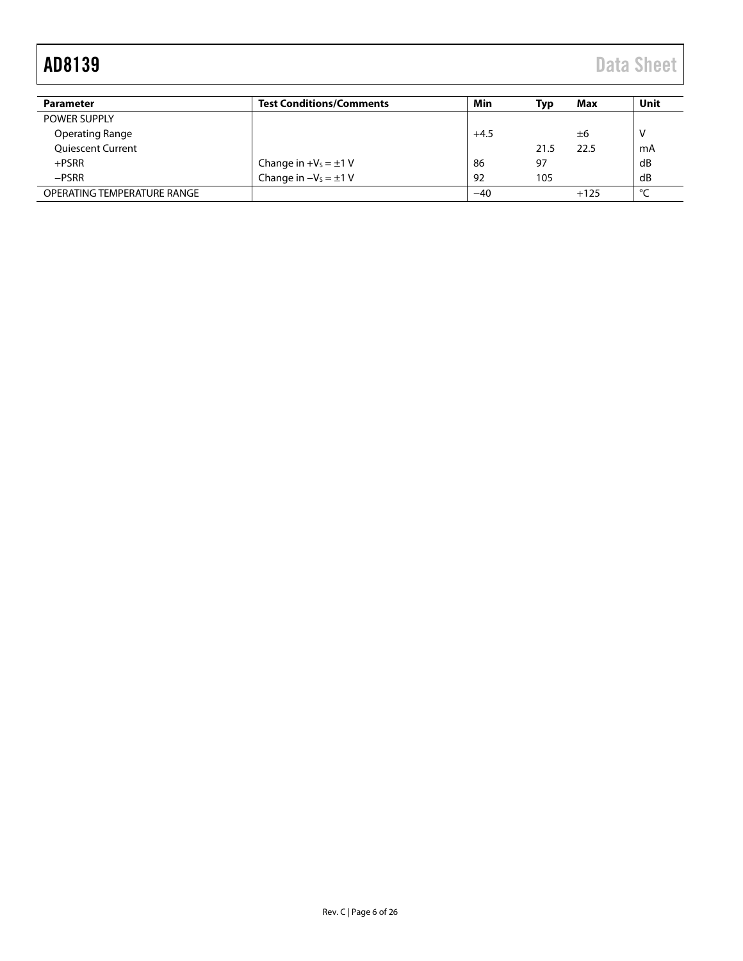| <b>Parameter</b>            | <b>Test Conditions/Comments</b> | Min    | Typ  | Max    | Unit |
|-----------------------------|---------------------------------|--------|------|--------|------|
| <b>POWER SUPPLY</b>         |                                 |        |      |        |      |
| <b>Operating Range</b>      |                                 | $+4.5$ |      | ±6     | v    |
| <b>Oujescent Current</b>    |                                 |        | 21.5 | 22.5   | mA   |
| $+$ PSRR                    | Change in $+V_s = \pm 1$ V      | 86     | 97   |        | dB   |
| $-PSRR$                     | Change in $-V_s = \pm 1$ V      | 92     | 105  |        | dB   |
| OPERATING TEMPERATURE RANGE |                                 | $-40$  |      | $+125$ | ℃    |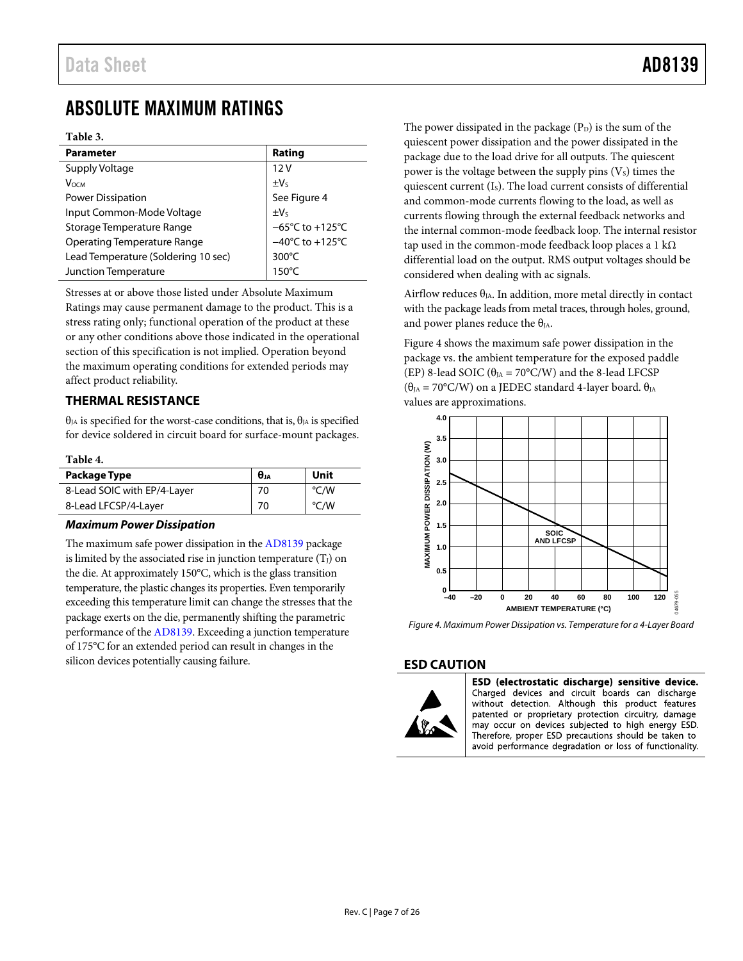## <span id="page-6-0"></span>ABSOLUTE MAXIMUM RATINGS

### **Table 3.**

| <b>Parameter</b>                    | Rating                               |
|-------------------------------------|--------------------------------------|
| Supply Voltage                      | 12V                                  |
| Vосм                                | $\pm V_s$                            |
| <b>Power Dissipation</b>            | See Figure 4                         |
| Input Common-Mode Voltage           | $\pm V_5$                            |
| Storage Temperature Range           | $-65^{\circ}$ C to +125 $^{\circ}$ C |
| <b>Operating Temperature Range</b>  | $-40^{\circ}$ C to +125 $^{\circ}$ C |
| Lead Temperature (Soldering 10 sec) | $300^{\circ}$ C                      |
| Junction Temperature                | $150^{\circ}$ C                      |

Stresses at or above those listed under Absolute Maximum Ratings may cause permanent damage to the product. This is a stress rating only; functional operation of the product at these or any other conditions above those indicated in the operational section of this specification is not implied. Operation beyond the maximum operating conditions for extended periods may affect product reliability.

### <span id="page-6-1"></span>**THERMAL RESISTANCE**

 $θ<sub>JA</sub>$  is specified for the worst-case conditions, that is,  $θ<sub>JA</sub>$  is specified for device soldered in circuit board for surface-mount packages.

### **Table 4.**

| Package Type                | θи | Unit |
|-----------------------------|----|------|
| 8-Lead SOIC with EP/4-Layer | 70 | °C/W |
| 8-Lead LFCSP/4-Layer        | 70 | °C/W |

### *Maximum Power Dissipation*

The maximum safe power dissipation in th[e AD8139](http://www.analog.com/ad8139?doc=ad8139.pdf) package is limited by the associated rise in junction temperature  $(T_J)$  on the die. At approximately 150°C, which is the glass transition temperature, the plastic changes its properties. Even temporarily exceeding this temperature limit can change the stresses that the package exerts on the die, permanently shifting the parametric performance of the [AD8139.](http://www.analog.com/ad8139?doc=ad8139.pdf) Exceeding a junction temperature of 175°C for an extended period can result in changes in the silicon devices potentially causing failure.

The power dissipated in the package  $(P_D)$  is the sum of the quiescent power dissipation and the power dissipated in the package due to the load drive for all outputs. The quiescent power is the voltage between the supply pins  $(V<sub>s</sub>)$  times the quiescent current (IS). The load current consists of differential and common-mode currents flowing to the load, as well as currents flowing through the external feedback networks and the internal common-mode feedback loop. The internal resistor tap used in the common-mode feedback loop places a 1 k $\Omega$ differential load on the output. RMS output voltages should be considered when dealing with ac signals.

Airflow reduces  $\theta_{JA}$ . In addition, more metal directly in contact with the package leads from metal traces, through holes, ground, and power planes reduce the  $\theta_{JA}$ .

[Figure 4](#page-6-3) shows the maximum safe power dissipation in the package vs. the ambient temperature for the exposed paddle (EP) 8-lead SOIC ( $\theta_{JA} = 70^{\circ}$ C/W) and the 8-lead LFCSP  $(θ<sub>JA</sub> = 70°C/W)$  on a JEDEC standard 4-layer board.  $θ<sub>JA</sub>$ values are approximations.



<span id="page-6-3"></span>*Figure 4. Maximum Power Dissipation vs. Temperature for a 4-Layer Board*

### <span id="page-6-2"></span>**ESD CAUTION**



ESD (electrostatic discharge) sensitive device. Charged devices and circuit boards can discharge without detection. Although this product features patented or proprietary protection circuitry, damage may occur on devices subjected to high energy ESD. Therefore, proper ESD precautions should be taken to avoid performance degradation or loss of functionality.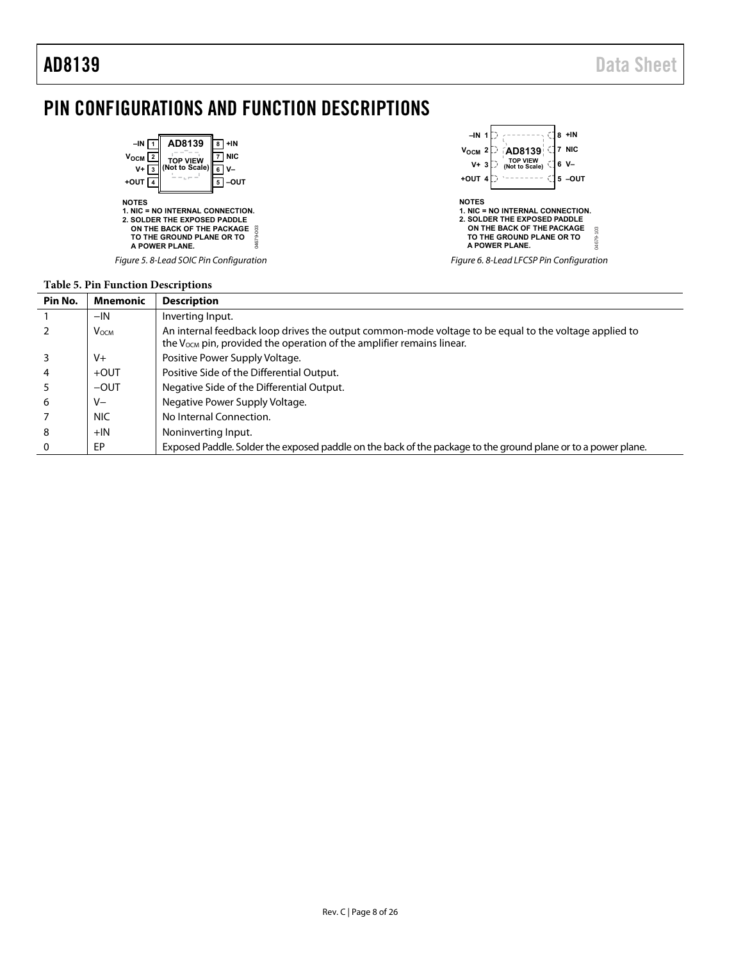## <span id="page-7-0"></span>PIN CONFIGURATIONS AND FUNCTION DESCRIPTIONS



### **Table 5. Pin Function Descriptions**

| Pin No. | <b>Mnemonic</b>  | <b>Description</b>                                                                                                                                                                         |  |  |  |  |
|---------|------------------|--------------------------------------------------------------------------------------------------------------------------------------------------------------------------------------------|--|--|--|--|
|         | $-IN$            | Inverting Input.                                                                                                                                                                           |  |  |  |  |
|         | V <sub>OCM</sub> | An internal feedback loop drives the output common-mode voltage to be equal to the voltage applied to<br>the V <sub>ocm</sub> pin, provided the operation of the amplifier remains linear. |  |  |  |  |
|         | $V +$            | Positive Power Supply Voltage.                                                                                                                                                             |  |  |  |  |
|         | $+$ OUT          | Positive Side of the Differential Output.                                                                                                                                                  |  |  |  |  |
|         | $-$ OUT          | Negative Side of the Differential Output.                                                                                                                                                  |  |  |  |  |
| 6       | V-               | Negative Power Supply Voltage.                                                                                                                                                             |  |  |  |  |
|         | <b>NIC</b>       | No Internal Connection.                                                                                                                                                                    |  |  |  |  |
| 8       | $+IN$            | Noninverting Input.                                                                                                                                                                        |  |  |  |  |
|         | EP               | Exposed Paddle. Solder the exposed paddle on the back of the package to the ground plane or to a power plane.                                                                              |  |  |  |  |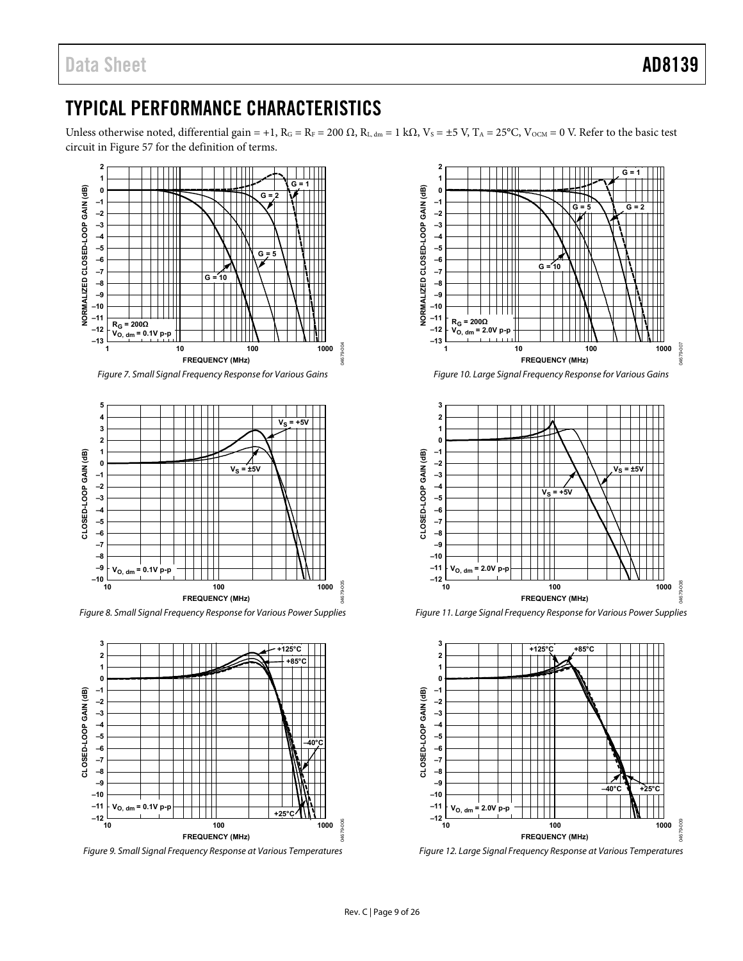# <span id="page-8-0"></span>TYPICAL PERFORMANCE CHARACTERISTICS

Unless otherwise noted, differential gain = +1,  $R_G = R_F = 200 \Omega$ ,  $R_{L, dm} = 1 k\Omega$ ,  $V_S = \pm 5 V$ ,  $T_A = 25^{\circ}C$ ,  $V_{OCM} = 0 V$ . Refer to the basic test circuit i[n Figure 57](#page-17-1) for the definition of terms.



Figure 7. Small Signal Frequency Response for Various Gains



Figure 8. Small Signal Frequency Response for Various Power Supplies



Figure 9. Small Signal Frequency Response at Various Temperatures







Figure 11. Large Signal Frequency Response for Various Power Supplies



Figure 12. Large Signal Frequency Response at Various Temperatures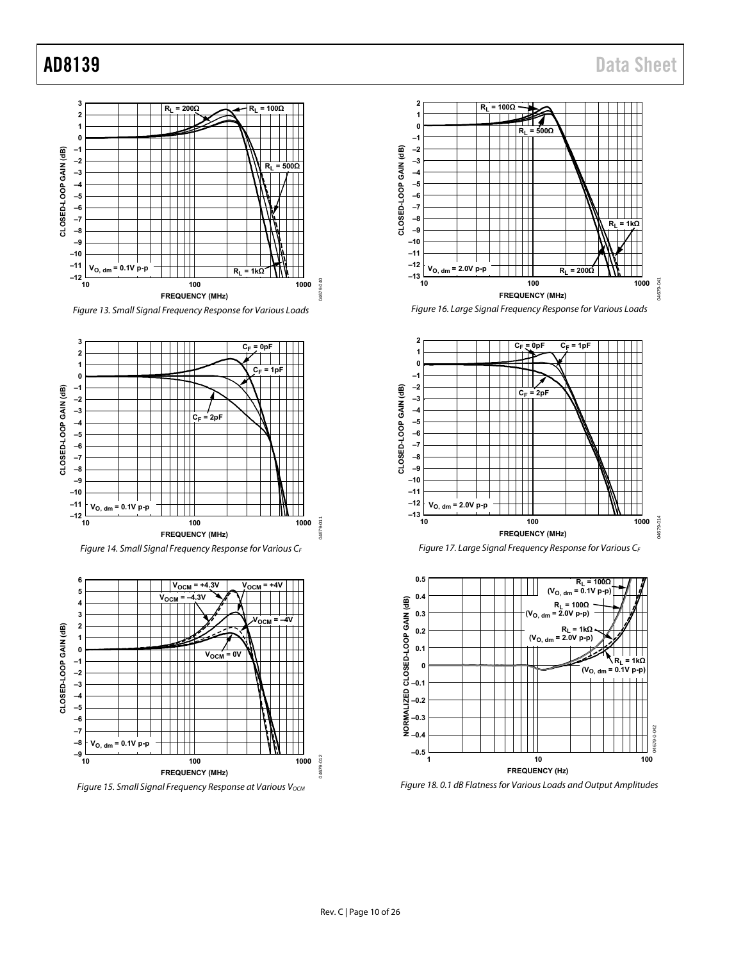









Figure 16. Large Signal Frequency Response for Various Loads







Figure 18. 0.1 dB Flatness for Various Loads and Output Amplitudes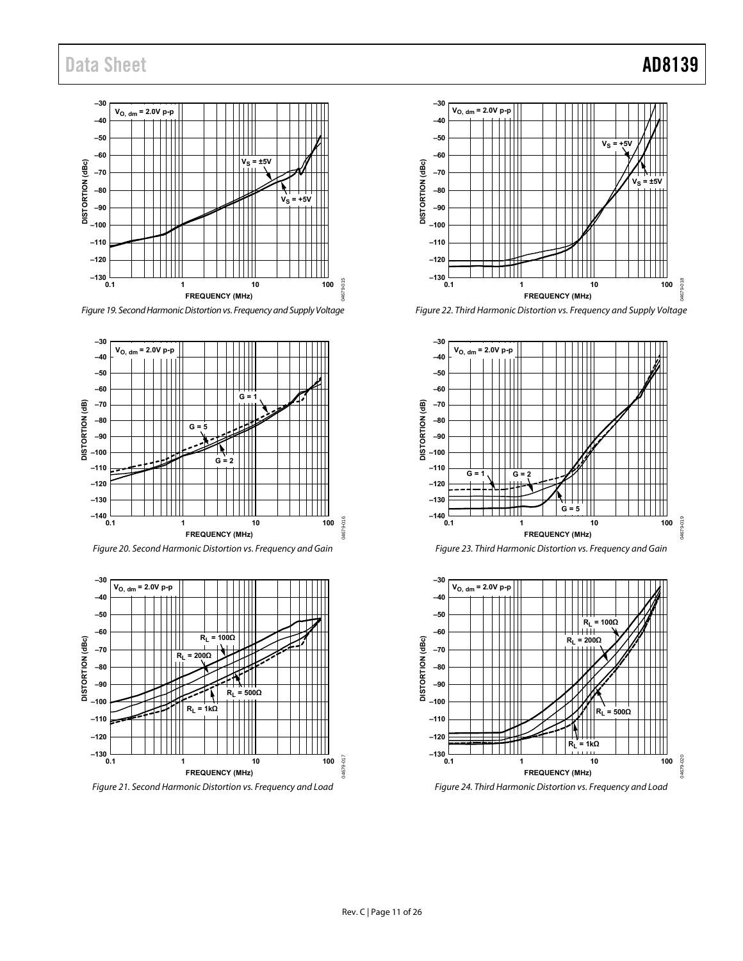### **–30 VO, dm = 2.0V p-p –40 –50 –60**  $V_S = \pm 5V$ **DISTORTION (dBc) –70 –80**  $V_S = +5V$ **–90 –100 –110 –120 –130** 04679-015 04679-015 **0.1** 1 10 100 **FREQUENCY (MHz)**

Figure 19. Second Harmonic Distortion vs. Frequency and Supply Voltage







Figure 21. Second Harmonic Distortion vs. Frequency and Load



Figure 22. Third Harmonic Distortion vs. Frequency and Supply Voltage



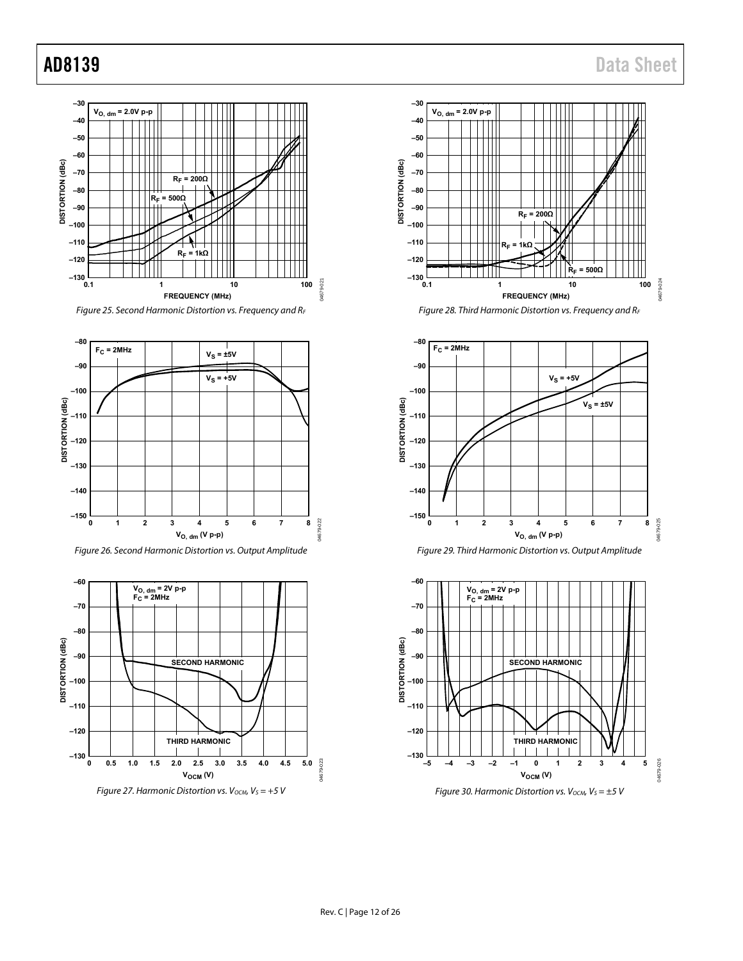















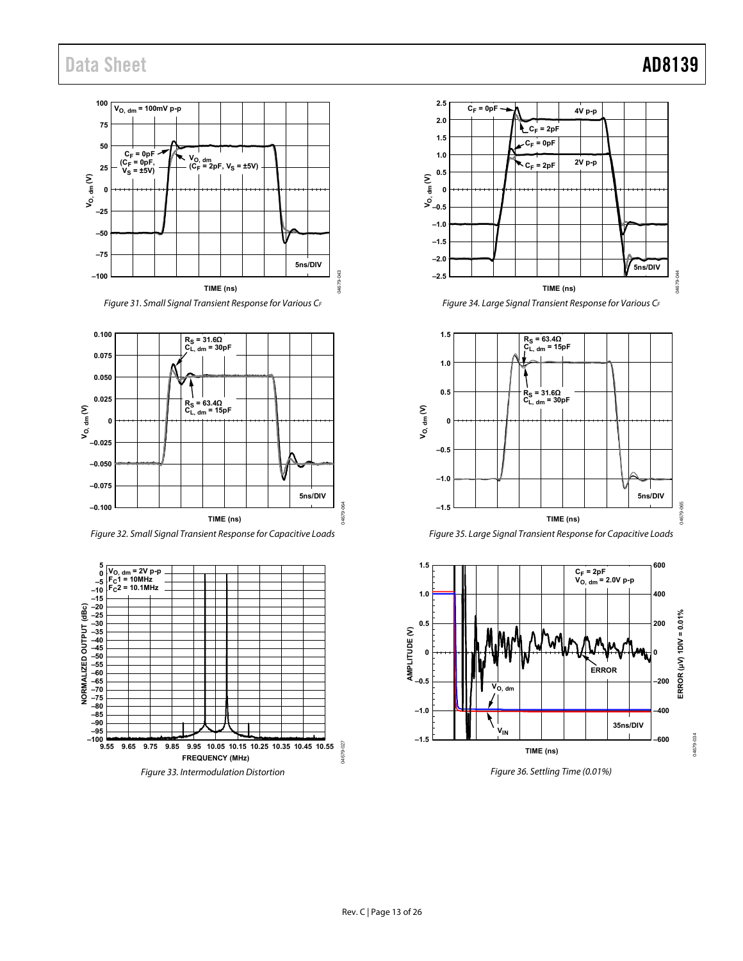### **100 VO, dm = 100mV p-p 75 50**  $C_F = 0pF$ **V<sub>O, dm</sub><br>(C<sub>F</sub> = 2pF, V<sub>S</sub> = ±5V)**  $(C_F = 0pF, V_S = ±5V)$ **25**  $= \pm 5V$ **VO, dm (V) 0 –25 –50 –75 5ns/DIV** 呈 04679-043 **–100** 04679 **TIME (ns)**

Figure 31. Small Signal Transient Response for Various CF



Figure 32. Small Signal Transient Response for Capacitive Loads





Figure 34. Large Signal Transient Response for Various CF







Figure 36. Settling Time (0.01%)

04679-034

04679-064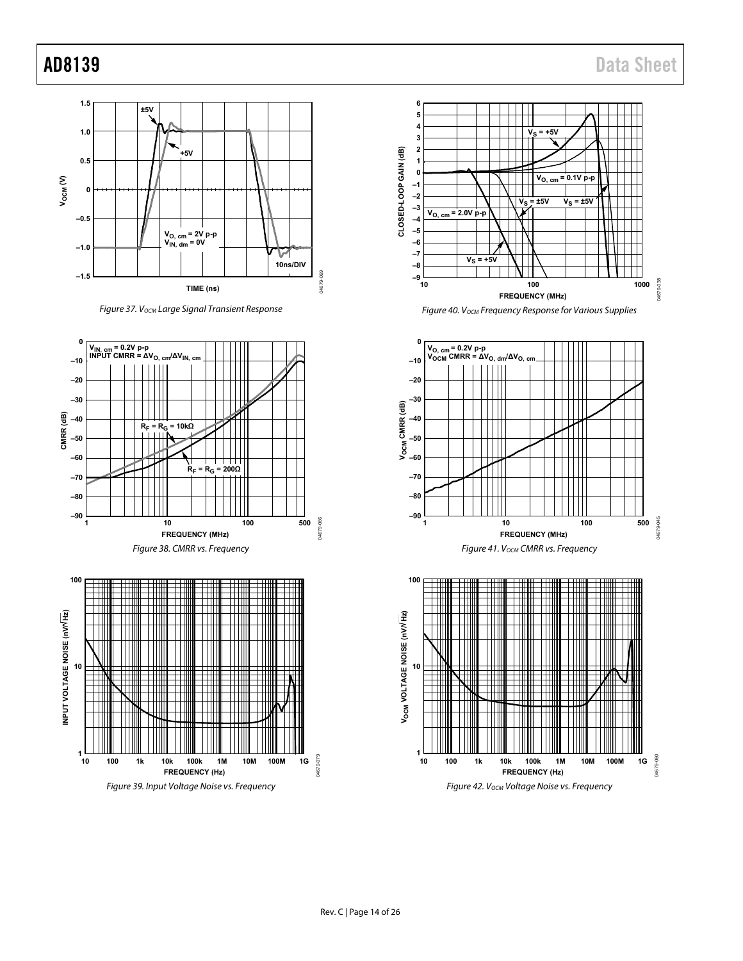











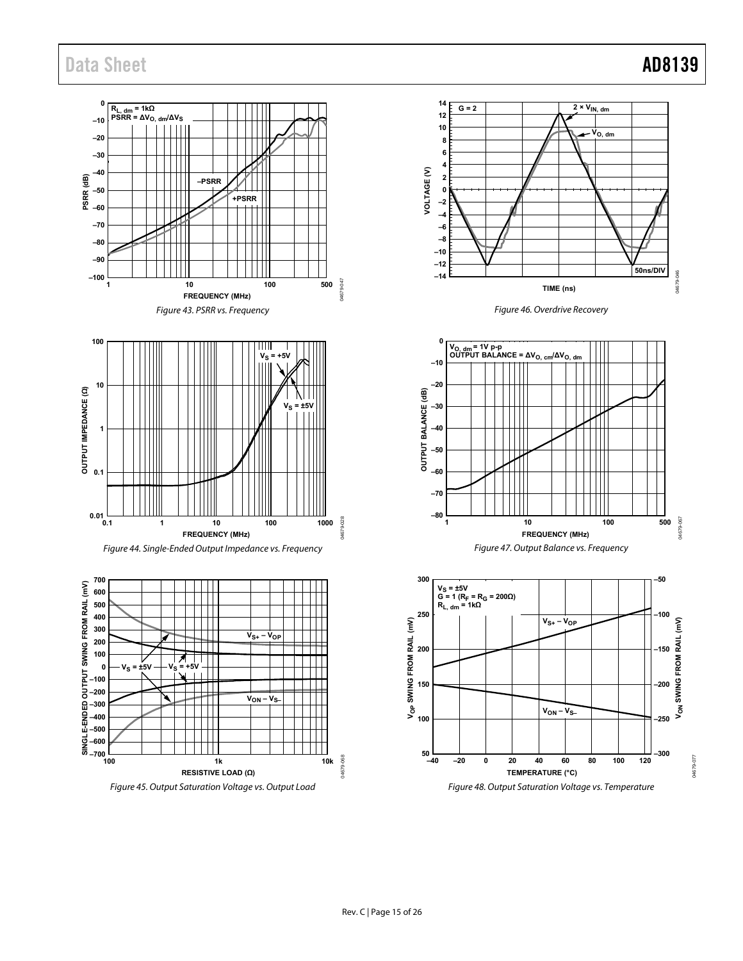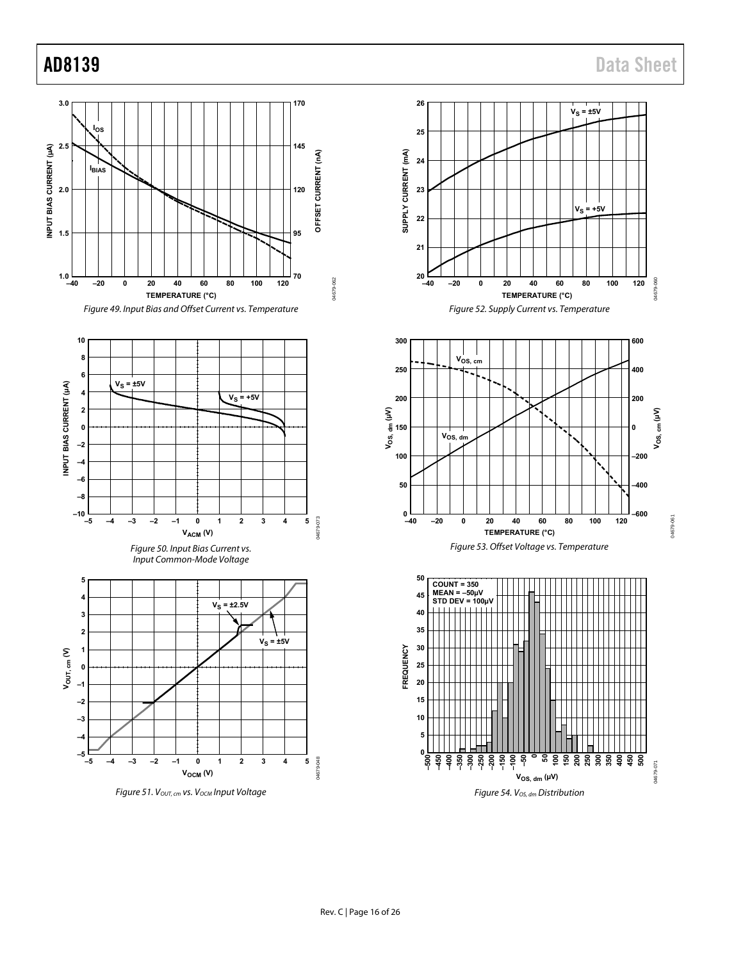











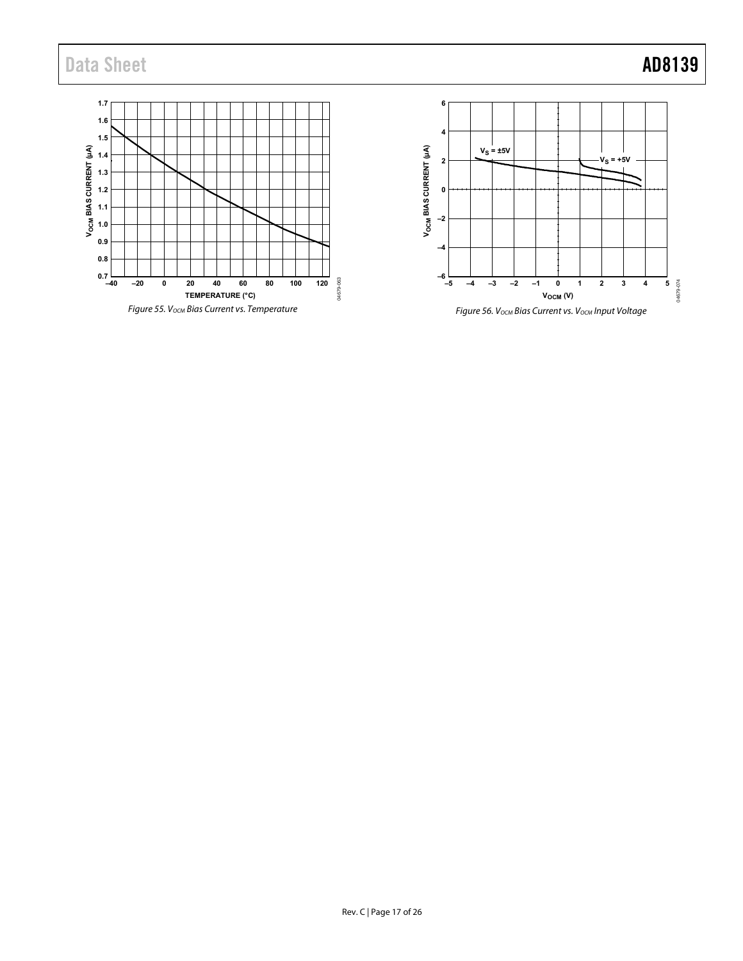



Figure 56. V<sub>OCM</sub> Bias Current vs. V<sub>OCM</sub> Input Voltage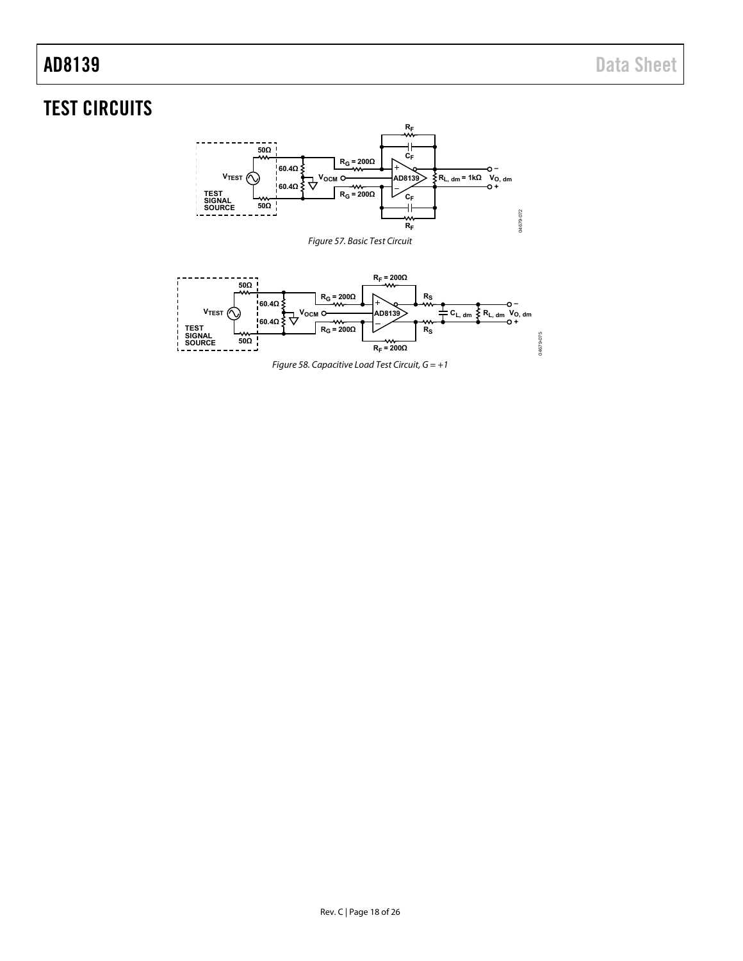# <span id="page-17-1"></span><span id="page-17-0"></span>TEST CIRCUITS



<span id="page-17-2"></span>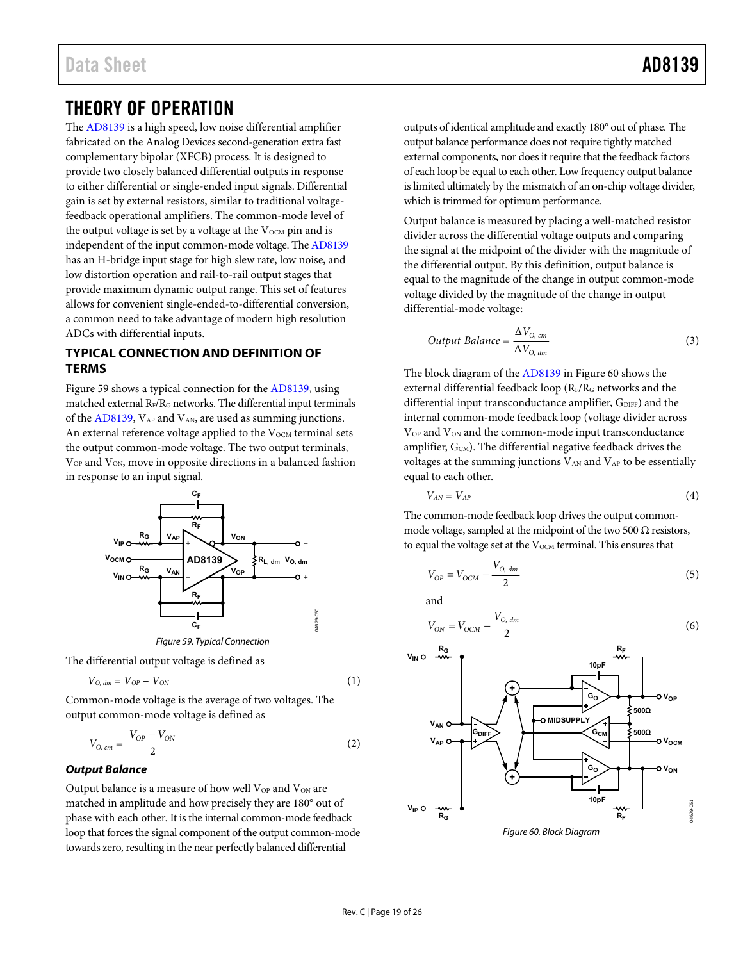## <span id="page-18-0"></span>THEORY OF OPERATION

The [AD8139 i](http://www.analog.com/ad8139?doc=ad8139.pdf)s a high speed, low noise differential amplifier fabricated on the Analog Devices second-generation extra fast complementary bipolar (XFCB) process. It is designed to provide two closely balanced differential outputs in response to either differential or single-ended input signals. Differential gain is set by external resistors, similar to traditional voltagefeedback operational amplifiers. The common-mode level of the output voltage is set by a voltage at the  $V_{\text{OCM}}$  pin and is independent of the input common-mode voltage. Th[e AD8139](http://www.analog.com/ad8139?doc=ad8139.pdf) has an H-bridge input stage for high slew rate, low noise, and low distortion operation and rail-to-rail output stages that provide maximum dynamic output range. This set of features allows for convenient single-ended-to-differential conversion, a common need to take advantage of modern high resolution ADCs with differential inputs.

### <span id="page-18-1"></span>**TYPICAL CONNECTION AND DEFINITION OF TERMS**

[Figure 59 s](#page-18-2)hows a typical connection for the [AD8139,](http://www.analog.com/ad8139?doc=ad8139.pdf) using matched external  $R_F/R_G$  networks. The differential input terminals of the [AD8139,](http://www.analog.com/ad8139?doc=ad8139.pdf)  $V_{AP}$  and  $V_{AN}$ , are used as summing junctions. An external reference voltage applied to the  $V_{OCM}$  terminal sets the output common-mode voltage. The two output terminals, V<sub>OP</sub> and V<sub>ON</sub>, move in opposite directions in a balanced fashion in response to an input signal.



<span id="page-18-2"></span>The differential output voltage is defined as

$$
V_{O, dm} = V_{OP} - V_{ON} \tag{1}
$$

Common-mode voltage is the average of two voltages. The output common-mode voltage is defined as

$$
V_{O, cm} = \frac{V_{OP} + V_{ON}}{2}
$$
 (2)

### **Output Balance**

Output balance is a measure of how well  $V_{OP}$  and  $V_{ON}$  are matched in amplitude and how precisely they are 180° out of phase with each other. It is the internal common-mode feedback loop that forces the signal component of the output common-mode towards zero, resulting in the near perfectly balanced differential

outputs of identical amplitude and exactly 180° out of phase. The output balance performance does not require tightly matched external components, nor does it require that the feedback factors of each loop be equal to each other. Low frequency output balance is limited ultimately by the mismatch of an on-chip voltage divider, which is trimmed for optimum performance.

Output balance is measured by placing a well-matched resistor divider across the differential voltage outputs and comparing the signal at the midpoint of the divider with the magnitude of the differential output. By this definition, output balance is equal to the magnitude of the change in output common-mode voltage divided by the magnitude of the change in output differential-mode voltage:

Output Balance = 
$$
\frac{\Delta V_{O, cm}}{\Delta V_{O, dm}}
$$
 (3)

The block diagram of th[e AD8139 i](http://www.analog.com/ad8139?doc=ad8139.pdf)[n Figure 60](#page-18-3) shows the external differential feedback loop (RF/RG networks and the differential input transconductance amplifier,  $G_{\text{DIFF}}$ ) and the internal common-mode feedback loop (voltage divider across V<sub>OP</sub> and V<sub>ON</sub> and the common-mode input transconductance amplifier,  $G_{CM}$ ). The differential negative feedback drives the voltages at the summing junctions  $V_{AN}$  and  $V_{AP}$  to be essentially equal to each other.

$$
V_{AN} = V_{AP} \tag{4}
$$

The common-mode feedback loop drives the output commonmode voltage, sampled at the midpoint of the two 500  $\Omega$  resistors, to equal the voltage set at the  $V_{\text{OCM}}$  terminal. This ensures that

$$
V_{OP} = V_{OCM} + \frac{V_{O, dm}}{2}
$$
 (5)

and

$$
V_{ON} = V_{OCM} - \frac{V_{O, dm}}{2}
$$
 (6)

<span id="page-18-3"></span>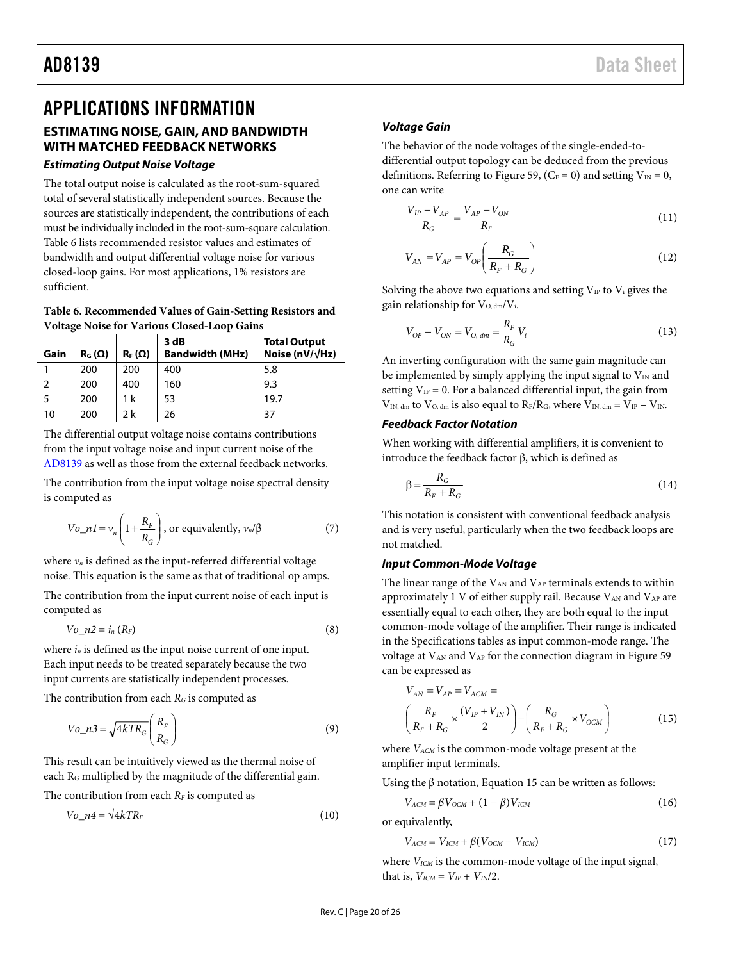## <span id="page-19-0"></span>APPLICATIONS INFORMATION

## <span id="page-19-1"></span>**ESTIMATING NOISE, GAIN, AND BANDWIDTH WITH MATCHED FEEDBACK NETWORKS**

### **Estimating Output Noise Voltage**

The total output noise is calculated as the root-sum-squared total of several statistically independent sources. Because the sources are statistically independent, the contributions of each must be individually included in the root-sum-square calculation. [Table 6](#page-19-2) lists recommended resistor values and estimates of bandwidth and output differential voltage noise for various closed-loop gains. For most applications, 1% resistors are sufficient.

<span id="page-19-2"></span>**Table 6. Recommended Values of Gain-Setting Resistors and Voltage Noise for Various Closed-Loop Gains** 

| ີ    |               |               |                                |                                                 |  |
|------|---------------|---------------|--------------------------------|-------------------------------------------------|--|
| Gain | $R_G(\Omega)$ | $R_F(\Omega)$ | 3 dB<br><b>Bandwidth (MHz)</b> | <b>Total Output</b><br>Noise (nV/ $\sqrt{Hz}$ ) |  |
|      | 200           | 200           | 400                            | 5.8                                             |  |
|      | 200           | 400           | 160                            | 9.3                                             |  |
|      | 200           | 1 k           | 53                             | 19.7                                            |  |
| 10   | 200           | 2 k           | 26                             | 37                                              |  |

The differential output voltage noise contains contributions from the input voltage noise and input current noise of the [AD8139 a](http://www.analog.com/ad8139?doc=ad8139.pdf)s well as those from the external feedback networks.

The contribution from the input voltage noise spectral density is computed as

$$
Vo_{-}nl = v_n \left( 1 + \frac{R_F}{R_G} \right), \text{ or equivalently, } v_n / \beta \tag{7}
$$

where  $v_n$  is defined as the input-referred differential voltage noise. This equation is the same as that of traditional op amps.

The contribution from the input current noise of each input is computed as

$$
Vo\_n2 = i_n (R_F) \tag{8}
$$

where *in* is defined as the input noise current of one input. Each input needs to be treated separately because the two input currents are statistically independent processes.

The contribution from each *RG* is computed as

$$
Vo_{n}a3 = \sqrt{4kTR_{G}} \left(\frac{R_{F}}{R_{G}}\right)
$$
\n(9)

This result can be intuitively viewed as the thermal noise of each RG multiplied by the magnitude of the differential gain.

The contribution from each  $R_F$  is computed as

$$
Vo\_n4 = \sqrt{4kTR_F} \tag{10}
$$

### **Voltage Gain**

The behavior of the node voltages of the single-ended-todifferential output topology can be deduced from the previous definitions. Referring t[o Figure 59,](#page-18-2) ( $C_F = 0$ ) and setting  $V_{IN} = 0$ , one can write

$$
\frac{V_{IP} - V_{AP}}{R_G} = \frac{V_{AP} - V_{ON}}{R_F}
$$
\n(11)

$$
V_{AN} = V_{AP} = V_{OP} \left( \frac{R_G}{R_F + R_G} \right) \tag{12}
$$

Solving the above two equations and setting  $V_{IP}$  to  $V_i$  gives the gain relationship for  $V_{O, dm}/V_i$ .

$$
V_{OP} - V_{ON} = V_{O, dm} = \frac{R_F}{R_G} V_i
$$
 (13)

An inverting configuration with the same gain magnitude can be implemented by simply applying the input signal to  $V_{\text{IN}}$  and setting  $V_{IP} = 0$ . For a balanced differential input, the gain from  $V_{IN, dm}$  to  $V_{O, dm}$  is also equal to  $R_F/R_G$ , where  $V_{IN, dm} = V_{IP} - V_{IN}$ .

### **Feedback Factor Notation**

When working with differential amplifiers, it is convenient to introduce the feedback factor β, which is defined as

$$
\beta = \frac{R_G}{R_F + R_G} \tag{14}
$$

This notation is consistent with conventional feedback analysis and is very useful, particularly when the two feedback loops are not matched.

### **Input Common-Mode Voltage**

The linear range of the  $V_{AN}$  and  $V_{AP}$  terminals extends to within approximately 1 V of either supply rail. Because  $V_{AN}$  and  $V_{AP}$  are essentially equal to each other, they are both equal to the input common-mode voltage of the amplifier. Their range is indicated in the [Specifications t](#page-2-0)ables as input common-mode range. The voltage at V<sub>AN</sub> and V<sub>AP</sub> for the connection diagram in Figure 59 can be expressed as

$$
V_{AN} = V_{AP} = V_{ACM} =
$$
\n
$$
\left(\frac{R_F}{R_F + R_G} \times \frac{(V_{IP} + V_{IN})}{2}\right) + \left(\frac{R_G}{R_F + R_G} \times V_{OCM}\right)
$$
\n(15)

where  $V_{ACM}$  is the common-mode voltage present at the amplifier input terminals.

Using the  $\beta$  notation, Equation 15 can be written as follows:

$$
V_{ACM} = \beta V_{OCM} + (1 - \beta) V_{ICM}
$$
 (16)

or equivalently,

$$
V_{ACM} = V_{ICM} + \beta (V_{OCM} - V_{ICM})
$$
\n(17)

where  $V_{ICM}$  is the common-mode voltage of the input signal, that is,  $V_{ICM} = V_{IP} + V_{IN}/2$ .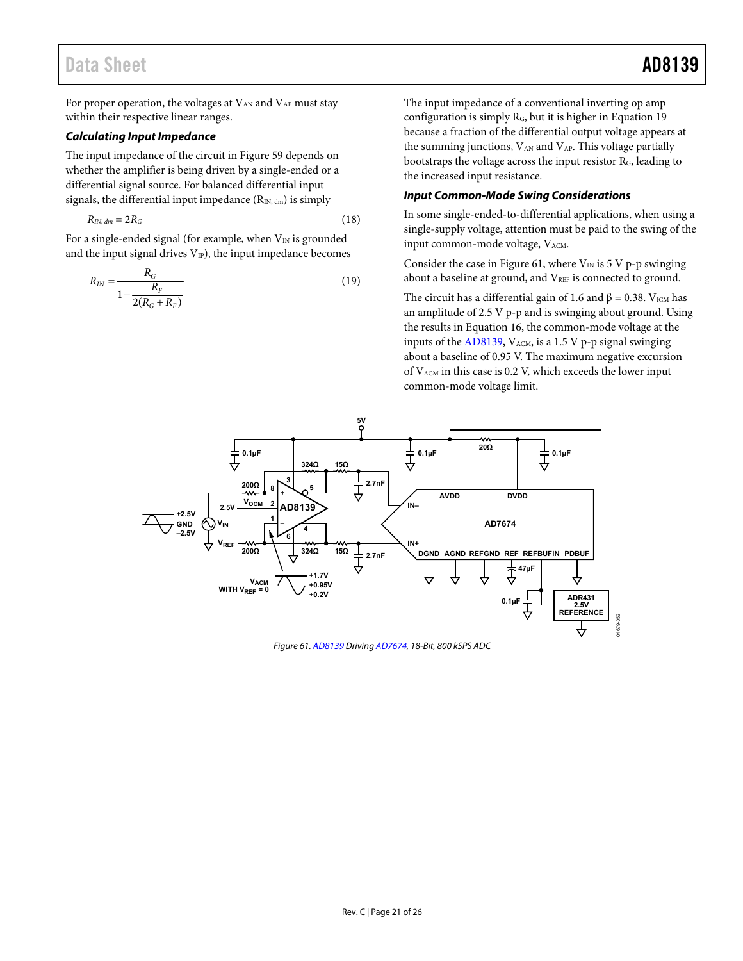For proper operation, the voltages at  $V_{AN}$  and  $V_{AP}$  must stay within their respective linear ranges.

### **Calculating Input Impedance**

The input impedance of the circuit i[n Figure 59 d](#page-18-2)epends on whether the amplifier is being driven by a single-ended or a differential signal source. For balanced differential input signals, the differential input impedance  $(R_{IN, dm})$  is simply

$$
R_{IN, dm} = 2R_G \tag{18}
$$

For a single-ended signal (for example, when  $V_{IN}$  is grounded and the input signal drives  $V_{IP}$ ), the input impedance becomes

$$
R_{IN} = \frac{R_G}{1 - \frac{R_F}{2(R_G + R_F)}}
$$
(19)

The input impedance of a conventional inverting op amp configuration is simply RG, but it is higher in Equation 19 because a fraction of the differential output voltage appears at the summing junctions,  $V_{AN}$  and  $V_{AP}$ . This voltage partially bootstraps the voltage across the input resistor RG, leading to the increased input resistance.

### **Input Common-Mode Swing Considerations**

In some single-ended-to-differential applications, when using a single-supply voltage, attention must be paid to the swing of the input common-mode voltage, VACM.

Consider the case in [Figure 61,](#page-20-0) where  $V_{IN}$  is 5 V p-p swinging about a baseline at ground, and VREF is connected to ground.

The circuit has a differential gain of 1.6 and  $\beta$  = 0.38. V<sub>ICM</sub> has an amplitude of 2.5 V p-p and is swinging about ground. Using the results in Equation 16, the common-mode voltage at the inputs of the [AD8139,](http://www.analog.com/ad8139?doc=ad8139.pdf)  $V_{ACM}$ , is a 1.5 V p-p signal swinging about a baseline of 0.95 V. The maximum negative excursion of  $V_{ACM}$  in this case is 0.2 V, which exceeds the lower input common-mode voltage limit.



<span id="page-20-0"></span>Figure 61[. AD8139 D](http://www.analog.com/ad8139?doc=ad8139.pdf)rivin[g AD7674,](http://www.analog.com/ad7674?doc=ad8139.pdf) 18-Bit, 800 kSPS ADC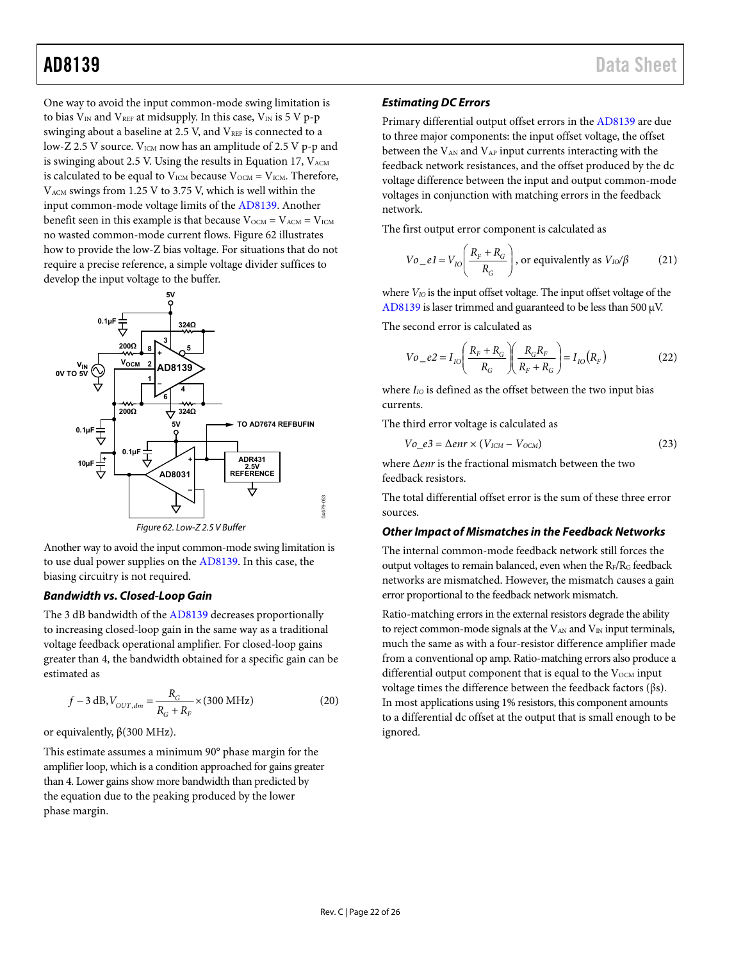One way to avoid the input common-mode swing limitation is to bias  $V_{IN}$  and  $V_{REF}$  at midsupply. In this case,  $V_{IN}$  is 5 V p-p swinging about a baseline at 2.5 V, and  $V_{REF}$  is connected to a low-Z 2.5 V source. V<sub>ICM</sub> now has an amplitude of 2.5 V p-p and is swinging about 2.5 V. Using the results in Equation 17,  $V_{ACM}$ is calculated to be equal to  $V_{ICM}$  because  $V_{OCM} = V_{ICM}$ . Therefore, VACM swings from 1.25 V to 3.75 V, which is well within the input common-mode voltage limits of th[e AD8139.](http://www.analog.com/ad8139?doc=ad8139.pdf) Another benefit seen in this example is that because  $V_{OCM} = V_{ACM} = V_{ICM}$ no wasted common-mode current flows[. Figure 62](#page-21-0) illustrates how to provide the low-Z bias voltage. For situations that do not require a precise reference, a simple voltage divider suffices to develop the input voltage to the buffer.



<span id="page-21-0"></span>Another way to avoid the input common-mode swing limitation is to use dual power supplies on th[e AD8139.](http://www.analog.com/ad8139?doc=ad8139.pdf) In this case, the

### **Bandwidth vs. Closed-Loop Gain**

biasing circuitry is not required.

The 3 dB bandwidth of th[e AD8139 d](http://www.analog.com/ad8139?doc=ad8139.pdf)ecreases proportionally to increasing closed-loop gain in the same way as a traditional voltage feedback operational amplifier. For closed-loop gains greater than 4, the bandwidth obtained for a specific gain can be estimated as

$$
f - 3 dB, V_{OUT, dm} = \frac{R_G}{R_G + R_F} \times (300 \text{ MHz})
$$
 (20)

or equivalently, β(300 MHz).

This estimate assumes a minimum 90° phase margin for the amplifier loop, which is a condition approached for gains greater than 4. Lower gains show more bandwidth than predicted by the equation due to the peaking produced by the lower phase margin.

### **Estimating DC Errors**

Primary differential output offset errors in the [AD8139 a](http://www.analog.com/ad8139?doc=ad8139.pdf)re due to three major components: the input offset voltage, the offset between the  $V_{AN}$  and  $V_{AP}$  input currents interacting with the feedback network resistances, and the offset produced by the dc voltage difference between the input and output common-mode voltages in conjunction with matching errors in the feedback network.

The first output error component is calculated as

$$
Vo_e = V_{I0} \left( \frac{R_F + R_G}{R_G} \right)
$$
, or equivalently as  $V_{I0} / \beta$  (21)

where  $V_{IO}$  is the input offset voltage. The input offset voltage of the [AD8139 i](http://www.analog.com/ad8139?doc=ad8139.pdf)s laser trimmed and guaranteed to be less than 500 μV.

The second error is calculated as

$$
Vo_{-}e2 = I_{IO} \left( \frac{R_{F} + R_{G}}{R_{G}} \right) \left( \frac{R_{G}R_{F}}{R_{F} + R_{G}} \right) = I_{IO} (R_{F})
$$
 (22)

where *I<sub>IO</sub>* is defined as the offset between the two input bias currents.

The third error voltage is calculated as

$$
Vo_e3 = \Delta enr \times (V_{ICM} - V_{OCM})
$$
 (23)

where Δ*enr* is the fractional mismatch between the two feedback resistors.

The total differential offset error is the sum of these three error sources.

### **Other Impact of Mismatches in the Feedback Networks**

The internal common-mode feedback network still forces the output voltages to remain balanced, even when the RF/RG feedback networks are mismatched. However, the mismatch causes a gain error proportional to the feedback network mismatch.

Ratio-matching errors in the external resistors degrade the ability to reject common-mode signals at the  $V_{AN}$  and  $V_{IN}$  input terminals, much the same as with a four-resistor difference amplifier made from a conventional op amp. Ratio-matching errors also produce a differential output component that is equal to the  $V_{OCM}$  input voltage times the difference between the feedback factors (βs). In most applications using 1% resistors, this component amounts to a differential dc offset at the output that is small enough to be ignored.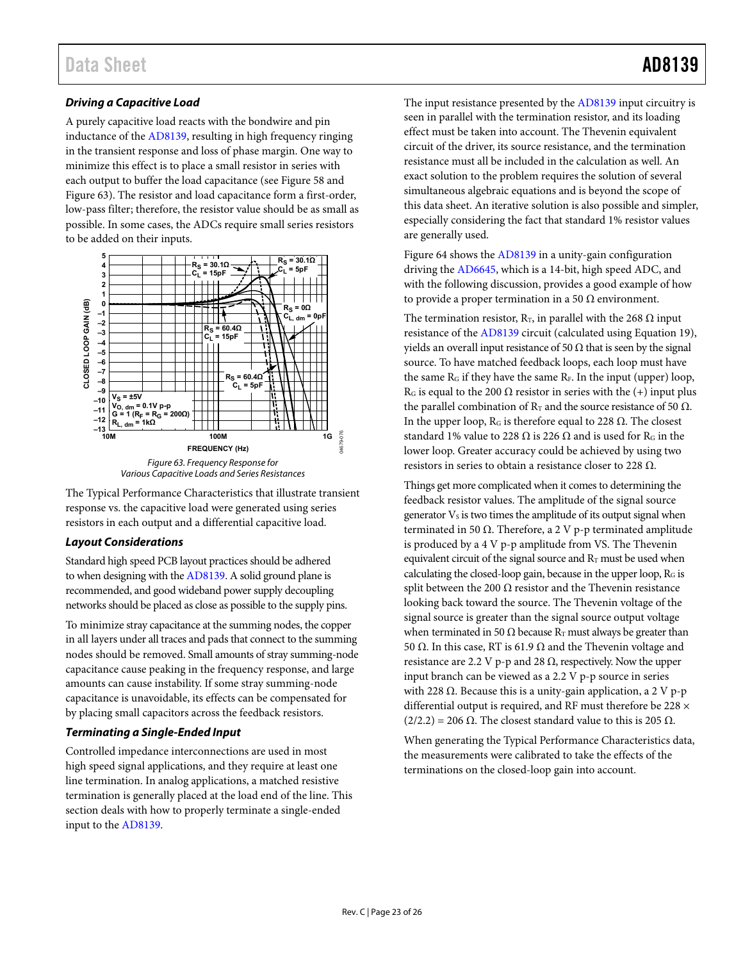## **Driving a Capacitive Load**

A purely capacitive load reacts with the bondwire and pin inductance of the [AD8139,](http://www.analog.com/ad8139?doc=ad8139.pdf) resulting in high frequency ringing in the transient response and loss of phase margin. One way to minimize this effect is to place a small resistor in series with each output to buffer the load capacitance (se[e Figure 58 a](#page-17-2)nd [Figure 63\)](#page-22-0). The resistor and load capacitance form a first-order, low-pass filter; therefore, the resistor value should be as small as possible. In some cases, the ADCs require small series resistors to be added on their inputs.



<span id="page-22-0"></span>

### **Layout Considerations**

Standard high speed PCB layout practices should be adhered to when designing with th[e AD8139.](http://www.analog.com/ad8139?doc=ad8139.pdf) A solid ground plane is recommended, and good wideband power supply decoupling networks should be placed as close as possible to the supply pins.

To minimize stray capacitance at the summing nodes, the copper in all layers under all traces and pads that connect to the summing nodes should be removed. Small amounts of stray summing-node capacitance cause peaking in the frequency response, and large amounts can cause instability. If some stray summing-node capacitance is unavoidable, its effects can be compensated for by placing small capacitors across the feedback resistors.

### **Terminating a Single-Ended Input**

Controlled impedance interconnections are used in most high speed signal applications, and they require at least one line termination. In analog applications, a matched resistive termination is generally placed at the load end of the line. This section deals with how to properly terminate a single-ended input to th[e AD8139.](http://www.analog.com/ad8139?doc=ad8139.pdf)

The input resistance presented by the [AD8139](http://www.analog.com/ad8139?doc=ad8139.pdf) input circuitry is seen in parallel with the termination resistor, and its loading effect must be taken into account. The Thevenin equivalent circuit of the driver, its source resistance, and the termination resistance must all be included in the calculation as well. An exact solution to the problem requires the solution of several simultaneous algebraic equations and is beyond the scope of this data sheet. An iterative solution is also possible and simpler, especially considering the fact that standard 1% resistor values are generally used.

[Figure 64 s](#page-23-0)hows th[e AD8139](http://www.analog.com/ad8139?doc=ad8139.pdf) in a unity-gain configuration driving the [AD6645,](http://www.analog.com/ad6645?doc=ad8139.pdf) which is a 14-bit, high speed ADC, and with the following discussion, provides a good example of how to provide a proper termination in a 50  $\Omega$  environment.

The termination resistor,  $R_T$ , in parallel with the 268  $\Omega$  input resistance of the [AD8139](http://www.analog.com/ad8139?doc=ad8139.pdf) circuit (calculated using Equation 19), yields an overall input resistance of 50  $\Omega$  that is seen by the signal source. To have matched feedback loops, each loop must have the same  $R_G$  if they have the same  $R_F$ . In the input (upper) loop, R<sub>G</sub> is equal to the 200  $\Omega$  resistor in series with the (+) input plus the parallel combination of  $R_T$  and the source resistance of 50  $\Omega$ . In the upper loop,  $R_G$  is therefore equal to 228  $\Omega$ . The closest standard 1% value to 228  $\Omega$  is 226  $\Omega$  and is used for R<sub>G</sub> in the lower loop. Greater accuracy could be achieved by using two resistors in series to obtain a resistance closer to 228  $Ω$ .

Things get more complicated when it comes to determining the feedback resistor values. The amplitude of the signal source generator Vs is two times the amplitude of its output signal when terminated in 50 Ω. Therefore, a 2 V p-p terminated amplitude is produced by a 4 V p-p amplitude from VS. The Thevenin equivalent circuit of the signal source and  $R_T$  must be used when calculating the closed-loop gain, because in the upper loop, RG is split between the 200  $\Omega$  resistor and the Thevenin resistance looking back toward the source. The Thevenin voltage of the signal source is greater than the signal source output voltage when terminated in 50  $\Omega$  because R<sub>T</sub> must always be greater than 50 Ω. In this case, RT is 61.9 Ω and the Thevenin voltage and resistance are 2.2 V p-p and 28  $Ω$ , respectively. Now the upper input branch can be viewed as a 2.2 V p-p source in series with 228 Ω. Because this is a unity-gain application, a 2 V p-p differential output is required, and RF must therefore be 228 ×  $(2/2.2) = 206 \Omega$ . The closest standard value to this is 205  $\Omega$ .

When generating the [Typical Performance Characteristics d](#page-8-0)ata, the measurements were calibrated to take the effects of the terminations on the closed-loop gain into account.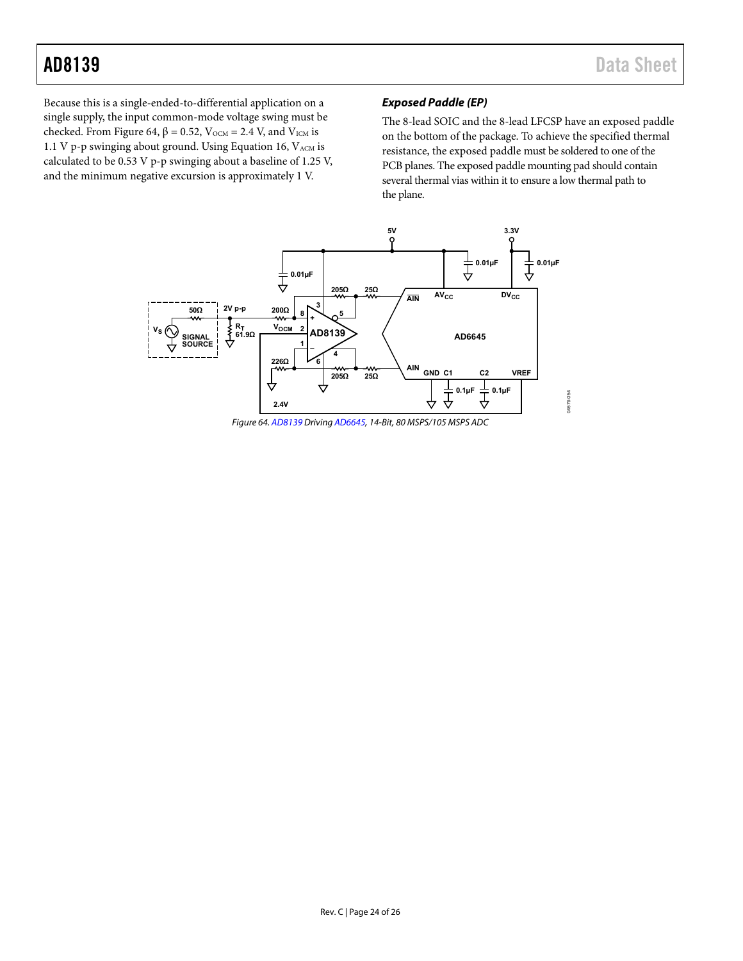Because this is a single-ended-to-differential application on a single supply, the input common-mode voltage swing must be checked. From [Figure 64,](#page-23-0)  $β = 0.52$ , V<sub>OCM</sub> = 2.4 V, and V<sub>ICM</sub> is 1.1 V p-p swinging about ground. Using Equation 16, VACM is calculated to be 0.53 V p-p swinging about a baseline of 1.25 V, and the minimum negative excursion is approximately 1 V.

### **Exposed Paddle (EP)**

The 8-lead SOIC and the 8-lead LFCSP have an exposed paddle on the bottom of the package. To achieve the specified thermal resistance, the exposed paddle must be soldered to one of the PCB planes. The exposed paddle mounting pad should contain several thermal vias within it to ensure a low thermal path to the plane.



<span id="page-23-0"></span>Figure 64[. AD8139 D](http://www.analog.com/ad8139?doc=ad8139.pdf)rivin[g AD6645,](http://www.analog.com/ad6645?doc=ad8139.pdf) 14-Bit, 80 MSPS/105 MSPS ADC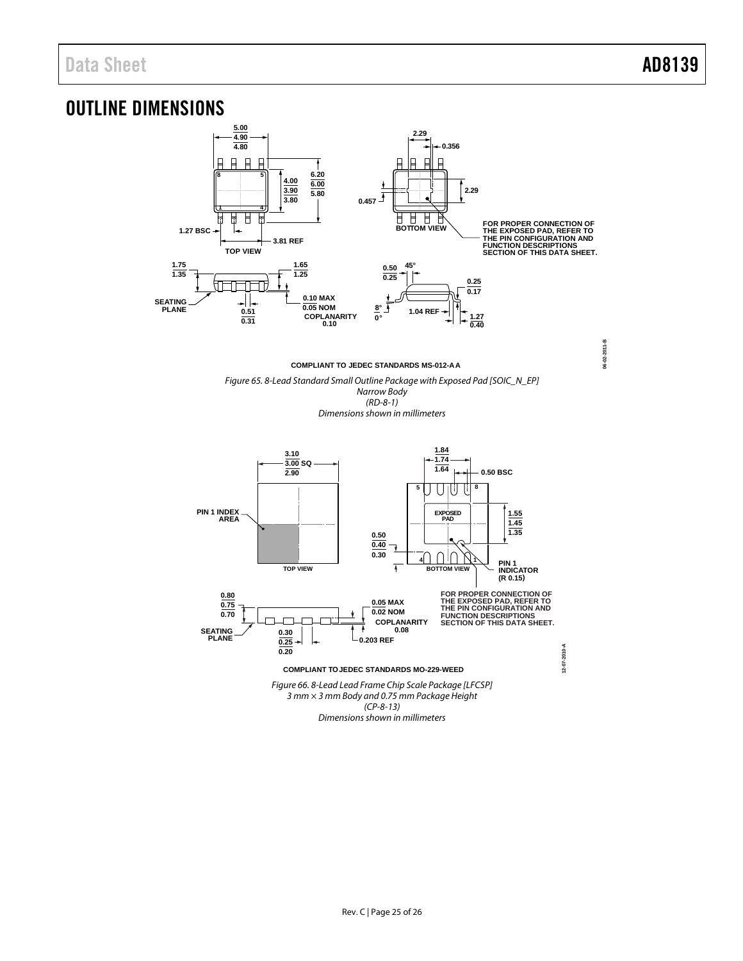## <span id="page-24-0"></span>OUTLINE DIMENSIONS





*Dimensions shown in millimeters*